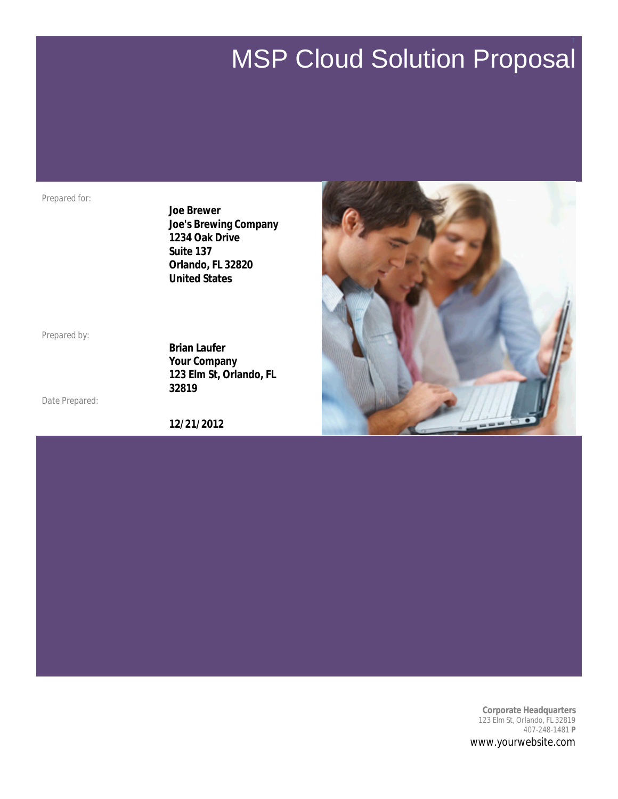# MSP Cloud Solution Proposal

T

*Prepared for:*

**Joe Brewer Joe's Brewing Company 1234 Oak Drive Suite 137 Orlando, FL 32820 United States**

*Prepared by:*

*Date Prepared:*

**Brian Laufer Your Company 123 Elm St, Orlando, FL 32819**

**12/21/2012**



**Corporate Headquarters** 123 Elm St, Orlando, FL 32819 407-248-1481 **P** www.yourwebsite.com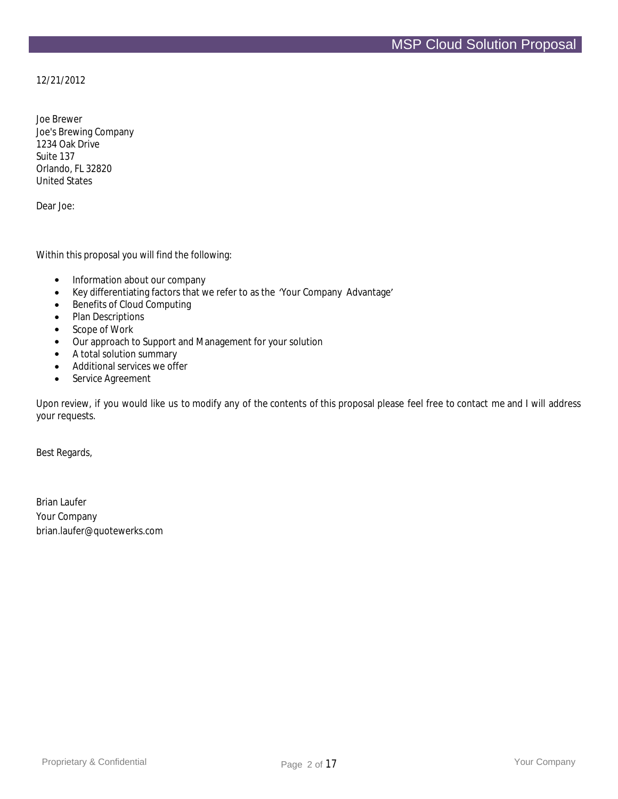12/21/2012

Joe Brewer Joe's Brewing Company 1234 Oak Drive Suite 137 Orlando, FL 32820 United States

Dear Joe:

Within this proposal you will find the following:

- Information about our company
- Key differentiating factors that we refer to as the 'Your Company Advantage'
- Benefits of Cloud Computing
- Plan Descriptions
- Scope of Work
- Our approach to Support and Management for your solution
- A total solution summary
- Additional services we offer
- Service Agreement

Upon review, if you would like us to modify any of the contents of this proposal please feel free to contact me and I will address your requests.

Best Regards,

Brian Laufer Your Company brian.laufer@quotewerks.com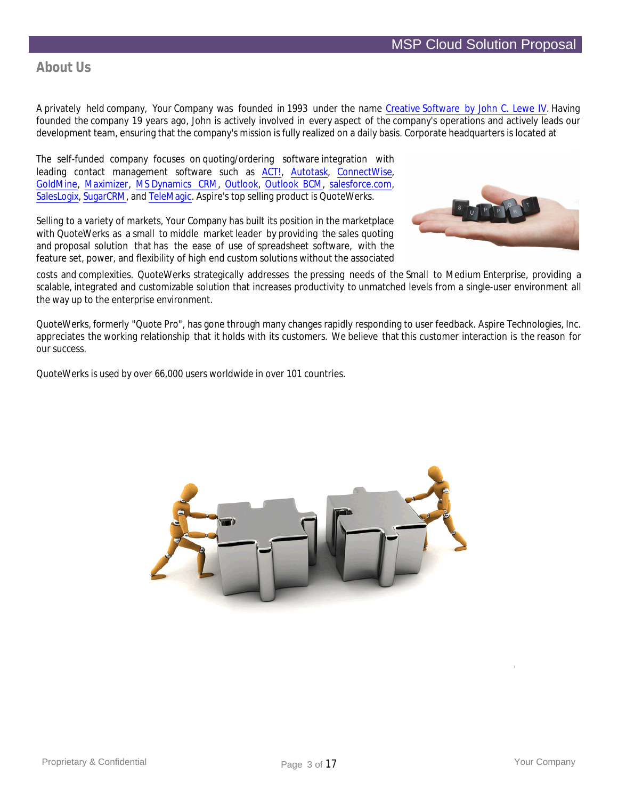# **About Us**

A privately held company, Your Company was founded in 1993 under the name Creative Software by John C. Lewe IV. Having founded the company 19 years ago, John is actively involved in every aspect of the company's operations and actively leads our development team, ensuring that the company's mission is fully realized on a daily basis. Corporate headquarters is located at

The self-funded company focuses on quoting/ordering software integration with leading contact management software such as ACT!, Autotask, ConnectWise, GoldMine, Maximizer, MS Dynamics CRM, Outlook, Outlook BCM, salesforce.com, SalesLogix, SugarCRM, and TeleMagic. Aspire's top selling product is QuoteWerks.

Selling to a variety of markets, Your Company has built its position in the marketplace with QuoteWerks as a small to middle market leader by providing the sales quoting and proposal solution that has the ease of use of spreadsheet software, with the feature set, power, and flexibility of high end custom solutions without the associated



costs and complexities. QuoteWerks strategically addresses the pressing needs of the Small to Medium Enterprise, providing a scalable, integrated and customizable solution that increases productivity to unmatched levels from a single-user environment all the way up to the enterprise environment.

QuoteWerks, formerly "Quote Pro", has gone through many changes rapidly responding to user feedback. Aspire Technologies, Inc. appreciates the working relationship that it holds with its customers. We believe that this customer interaction is the reason for our success.

QuoteWerks is used by over 66,000 users worldwide in over 101 countries.

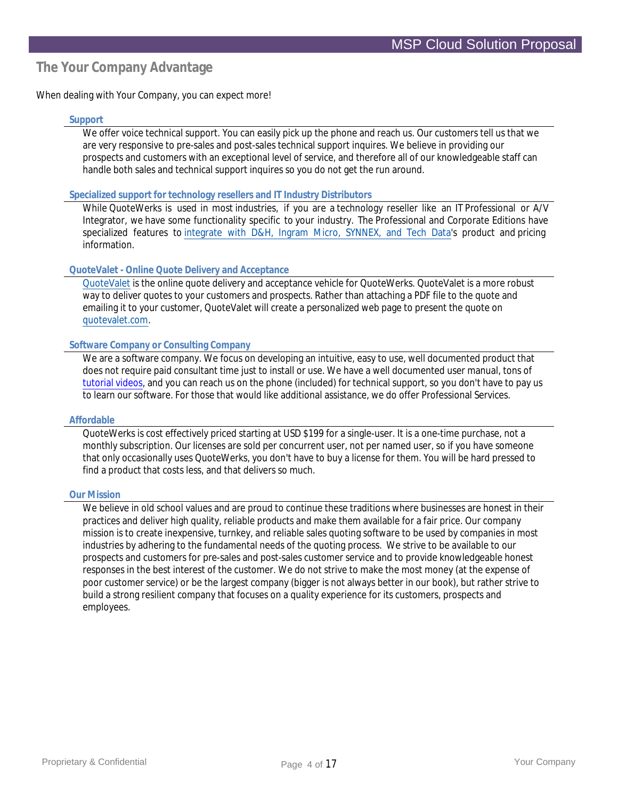# **The Your Company Advantage**

When dealing with Your Company, you can expect more!

## **Support**

We offer voice technical support. You can easily pick up the phone and reach us. Our customers tell us that we are very responsive to pre-sales and post-sales technical support inquires. We believe in providing our prospects and customers with an exceptional level of service, and therefore all of our knowledgeable staff can handle both sales and technical support inquires so you do not get the run around.

#### **Specialized support for technology resellers and IT Industry Distributors**

While QuoteWerks is used in most industries, if you are a technology reseller like an IT Professional or A/V Integrator, we have some functionality specific to your industry. The Professional and Corporate Editions have specialized features to integrate with D&H, Ingram Micro, SYNNEX, and Tech Data's product and pricing information.

## **QuoteValet - Online Quote Delivery and Acceptance**

QuoteValet is the online quote delivery and acceptance vehicle for QuoteWerks. QuoteValet is a more robust way to deliver quotes to your customers and prospects. Rather than attaching a PDF file to the quote and emailing it to your customer, QuoteValet will create a personalized web page to present the quote on quotevalet.com.

## **Software Company or Consulting Company**

We are a software company. We focus on developing an intuitive, easy to use, well documented product that does not require paid consultant time just to install or use. We have a well documented user manual, tons of tutorial videos, and you can reach us on the phone (included) for technical support, so you don't have to pay us to learn our software. For those that would like additional assistance, we do offer Professional Services.

## **Affordable**

QuoteWerks is cost effectively priced starting at USD \$199 for a single-user. It is a one-time purchase, not a monthly subscription. Our licenses are sold per concurrent user, not per named user, so if you have someone that only occasionally uses QuoteWerks, you don't have to buy a license for them. You will be hard pressed to find a product that costs less, and that delivers so much.

## **Our Mission**

We believe in old school values and are proud to continue these traditions where businesses are honest in their practices and deliver high quality, reliable products and make them available for a fair price. Our company mission is to create inexpensive, turnkey, and reliable sales quoting software to be used by companies in most industries by adhering to the fundamental needs of the quoting process. We strive to be available to our prospects and customers for pre-sales and post-sales customer service and to provide knowledgeable honest responses in the best interest of the customer. We do not strive to make the most money (at the expense of poor customer service) or be the largest company (bigger is not always better in our book), but rather strive to build a strong resilient company that focuses on a quality experience for its customers, prospects and employees.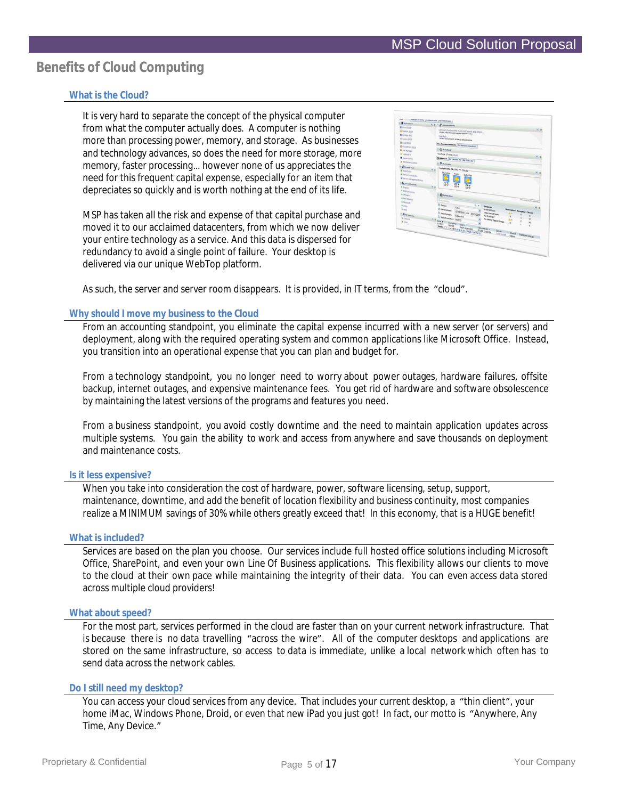# **Benefits of Cloud Computing**

## **What is the Cloud?**

It is very hard to separate the concept of the physical computer from what the computer actually does. A computer is nothing more than processing power, memory, and storage. As businesses and technology advances, so does the need for more storage, more memory, faster processing… however none of us appreciates the need for this frequent capital expense, especially for an item that depreciates so quickly and is worth nothing at the end of its life.

MSP has taken all the risk and expense of that capital purchase and moved it to our acclaimed datacenters, from which we now deliver your entire technology as a service. And this data is dispersed for redundancy to avoid a single point of failure. Your desktop is delivered via our unique WebTop platform.

|                                | Leadwhee to surely. Two months were Talking arounded.<br><b>P</b> Announcements                        |  |
|--------------------------------|--------------------------------------------------------------------------------------------------------|--|
| <b>B</b> Mord 2010             |                                                                                                        |  |
| <b>B</b> Outlook 2010          | Company lunch in the main conf. room at 1:30pm<br>Poted a few moments age by Rajoh Kramden             |  |
| <b>N</b> Xenigo ANC            | User Pol.                                                                                              |  |
| G Access 2010                  | Profed 05/11/2010 7:14 PM By Edward Norton                                                             |  |
| <b>X</b> Evol 2010             |                                                                                                        |  |
| <b>B</b> PowerPoint 2010       | Bew Announcements (3) CAS Announcements (5)                                                            |  |
| <b>b</b> File Manager          | <b>O</b> My battes                                                                                     |  |
| <b><i>O</i></b> victors 4      | You have 17 new emails                                                                                 |  |
| Steven Admin                   | My Inbenetts   My Calendar (R)   My Tesks (R)                                                          |  |
| A RS Dynamics 2010             | <b>T. My Weather</b>                                                                                   |  |
| <b>Chrometone</b>              |                                                                                                        |  |
| <b>R</b> tool2 visit           | Long Beach, CA: 64.2 %, Cloudy                                                                         |  |
| <b>K</b> Server Layout vice    | <b>Tursday</b><br><b>Friday</b><br>Saturday                                                            |  |
| <b>B</b> Senar management door |                                                                                                        |  |
|                                | 71.16                                                                                                  |  |
| <b>L</b> Sand Stories          | 72 19<br>63 40<br>73.9<br>65.66                                                                        |  |
| · Iron                         | 63.98                                                                                                  |  |
| · Mill University<br>· Waan    |                                                                                                        |  |
| <b>4 Stip Alliance</b>         | <b>Baynes</b> Iva                                                                                      |  |
| 4 Monson                       | Presently Heatheding<br><b>Search Schiefs</b>                                                          |  |
| <b>9 Chiu</b>                  | <b>Stage</b> R<br>٠                                                                                    |  |
| $+$ out                        | <b>Requests</b><br>Open<br>District Manager<br><b>hier Hiters</b>                                      |  |
|                                | <b>Inaccepted Accepted Closed</b><br>07/15/2010 Wel 07/22/2010<br>Older than 24 hours<br>D Sepot power |  |
| <b>C. B. Hy Shortrain</b>      | Extension<br>For External of<br>$\theta$<br>ò                                                          |  |
| · Cobara                       | D Newtonewya MSP33<br>For Internal Support Council<br>17<br>Case # v                                   |  |
| · cow                          | w<br>Company User -<br>$\theta$<br>117033                                                              |  |
|                                | ٠                                                                                                      |  |
|                                | <b>Thissa Card Address of All Cape Journals</b><br>Opened on v<br>07/22 2:05 PM<br>Issue               |  |
|                                | Status Support Group<br>Test ticket                                                                    |  |
|                                |                                                                                                        |  |

As such, the server and server room disappears. It is provided, in IT terms, from the "cloud".

## **Why should I move my business to the Cloud**

From an accounting standpoint, you eliminate the capital expense incurred with a new server (or servers) and deployment, along with the required operating system and common applications like Microsoft Office. Instead, you transition into an operational expense that you can plan and budget for.

From a technology standpoint, you no longer need to worry about power outages, hardware failures, offsite backup, internet outages, and expensive maintenance fees. You get rid of hardware and software obsolescence by maintaining the latest versions of the programs and features you need.

From a business standpoint, you avoid costly downtime and the need to maintain application updates across multiple systems. You gain the ability to work and access from anywhere and save thousands on deployment and maintenance costs.

## **Is it less expensive?**

When you take into consideration the cost of hardware, power, software licensing, setup, support, maintenance, downtime, and add the benefit of location flexibility and business continuity, most companies realize a MINIMUM savings of 30% while others greatly exceed that! In this economy, that is a HUGE benefit!

## **What is included?**

Services are based on the plan you choose. Our services include full hosted office solutions including Microsoft Office, SharePoint, and even your own Line Of Business applications. This flexibility allows our clients to move to the cloud at their own pace while maintaining the integrity of their data. You can even access data stored across multiple cloud providers!

## **What about speed?**

For the most part, services performed in the cloud are faster than on your current network infrastructure. That is because there is no data travelling "across the wire". All of the computer desktops and applications are stored on the same infrastructure, so access to data is immediate, unlike a local network which often has to send data across the network cables.

#### **Do I still need my desktop?**

You can access your cloud services from any device. That includes your current desktop, a "thin client", your home iMac, Windows Phone, Droid, or even that new iPad you just got! In fact, our motto is "Anywhere, Any Time, Any Device."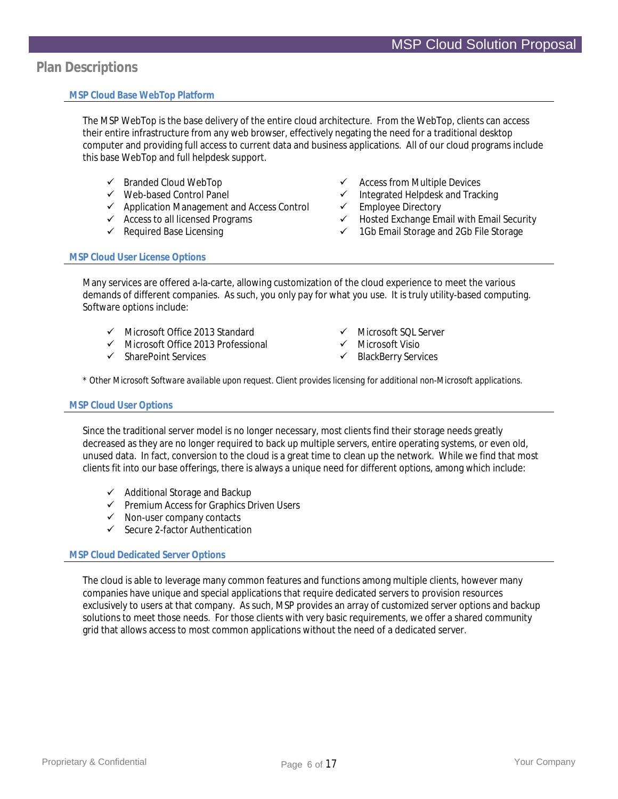## **Plan Descriptions**

## **MSP Cloud Base WebTop Platform**

The MSP WebTop is the base delivery of the entire cloud architecture. From the WebTop, clients can access their entire infrastructure from any web browser, effectively negating the need for a traditional desktop computer and providing full access to current data and business applications. All of our cloud programs include this base WebTop and full helpdesk support.

- $\checkmark$  Branded Cloud WebTop
- Web-based Control Panel
- $\checkmark$  Application Management and Access Control
- $\checkmark$  Access to all licensed Programs
- $\checkmark$  Required Base Licensing
- $\checkmark$  Access from Multiple Devices
- $\checkmark$  Integrated Helpdesk and Tracking<br> $\checkmark$  Employee Directory
- Employee Directory
- Hosted Exchange Email with Email Security
- $\checkmark$  1Gb Email Storage and 2Gb File Storage

## **MSP Cloud User License Options**

Many services are offered a-la-carte, allowing customization of the cloud experience to meet the various demands of different companies. As such, you only pay for what you use. It is truly utility-based computing. Software options include:

- $\checkmark$  Microsoft Office 2013 Standard
- $\checkmark$  Microsoft Office 2013 Professional
- $\checkmark$  SharePoint Services
- Microsoft SQL Server
- $\checkmark$  Microsoft Visio
- $\checkmark$  BlackBerry Services

*\* Other Microsoft Software available upon request. Client provides licensing for additional non-Microsoft applications.*

## **MSP Cloud User Options**

Since the traditional server model is no longer necessary, most clients find their storage needs greatly decreased as they are no longer required to back up multiple servers, entire operating systems, or even old, unused data. In fact, conversion to the cloud is a great time to clean up the network. While we find that most clients fit into our base offerings, there is always a unique need for different options, among which include:

- $\checkmark$  Additional Storage and Backup
- $\checkmark$  Premium Access for Graphics Driven Users
- $\checkmark$  Non-user company contacts
- $\checkmark$  Secure 2-factor Authentication

## **MSP Cloud Dedicated Server Options**

The cloud is able to leverage many common features and functions among multiple clients, however many companies have unique and special applications that require dedicated servers to provision resources exclusively to users at that company. As such, MSP provides an array of customized server options and backup solutions to meet those needs. For those clients with very basic requirements, we offer a shared community grid that allows access to most common applications without the need of a dedicated server.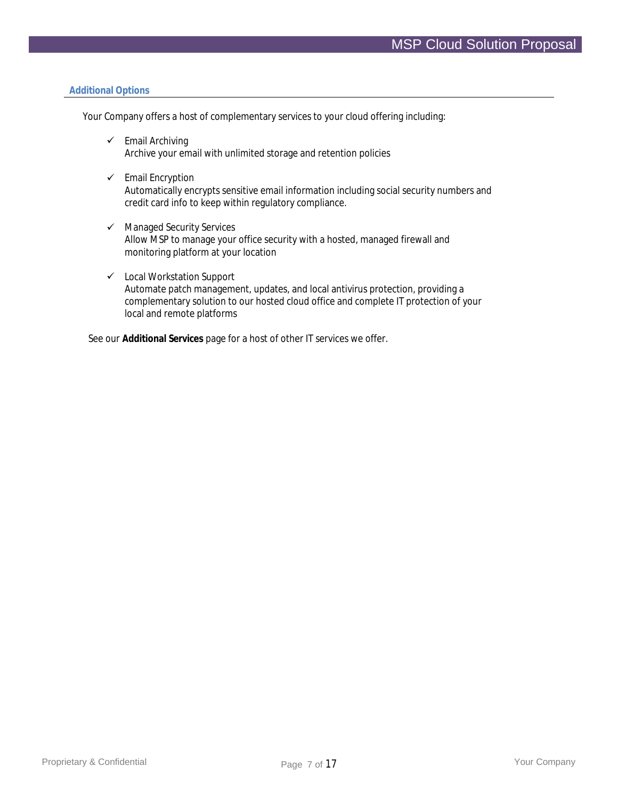#### **Additional Options**

Your Company offers a host of complementary services to your cloud offering including:

- $\checkmark$  Email Archiving Archive your email with unlimited storage and retention policies
- $\checkmark$  Email Encryption Automatically encrypts sensitive email information including social security numbers and credit card info to keep within regulatory compliance.
- $\checkmark$  Managed Security Services Allow MSP to manage your office security with a hosted, managed firewall and monitoring platform at your location
- Local Workstation Support Automate patch management, updates, and local antivirus protection, providing a complementary solution to our hosted cloud office and complete IT protection of your local and remote platforms

See our **Additional Services** page for a host of other IT services we offer.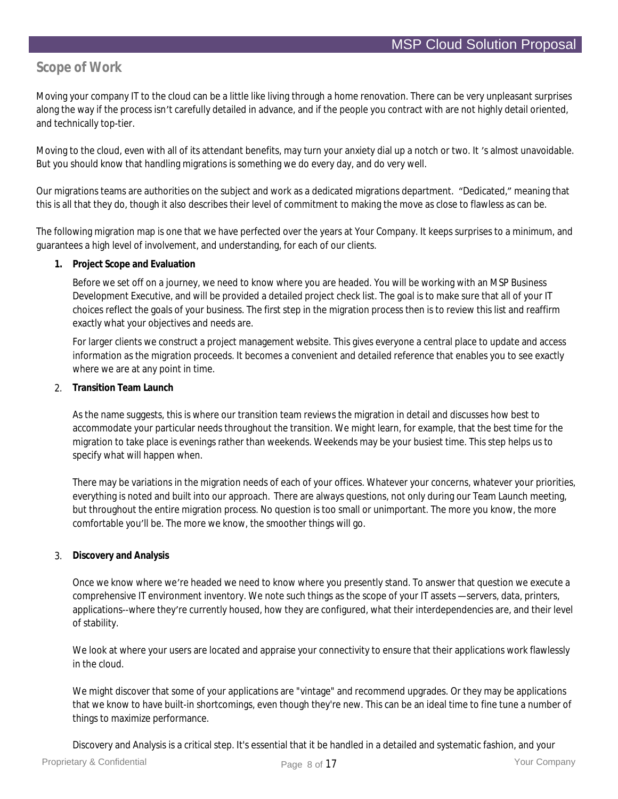## **Scope of Work**

Moving your company IT to the cloud can be a little like living through a home renovation. There can be very unpleasant surprises along the way if the process isn't carefully detailed in advance, and if the people you contract with are not highly detail oriented, and technically top-tier.

Moving to the cloud, even with all of its attendant benefits, may turn your anxiety dial up a notch or two. It 's almost unavoidable. But you should know that handling migrations is something we do every day, and do very well.

Our migrations teams are authorities on the subject and work as a dedicated migrations department. "Dedicated," meaning that this is all that they do, though it also describes their level of commitment to making the move as close to flawless as can be.

The following migration map is one that we have perfected over the years at Your Company. It keeps surprises to a minimum, and guarantees a high level of involvement, and understanding, for each of our clients.

**1. Project Scope and Evaluation**

Before we set off on a journey, we need to know where you are headed. You will be working with an MSP Business Development Executive, and will be provided a detailed project check list. The goal is to make sure that all of your IT choices reflect the goals of your business. The first step in the migration process then is to review this list and reaffirm exactly what your objectives and needs are.

For larger clients we construct a project management website. This gives everyone a central place to update and access information as the migration proceeds. It becomes a convenient and detailed reference that enables you to see exactly where we are at any point in time.

2. **Transition Team Launch**

As the name suggests, this is where our transition team reviews the migration in detail and discusses how best to accommodate your particular needs throughout the transition. We might learn, for example, that the best time for the migration to take place is evenings rather than weekends. Weekends may be your busiest time. This step helps us to specify what will happen when.

There may be variations in the migration needs of each of your offices. Whatever your concerns, whatever your priorities, everything is noted and built into our approach. There are always questions, not only during our Team Launch meeting, but throughout the entire migration process. No question is too small or unimportant. The more you know, the more comfortable you'll be. The more we know, the smoother things will go.

3. **Discovery and Analysis**

Once we know where we're headed we need to know where you presently stand. To answer that question we execute a comprehensive IT environment inventory. We note such things as the scope of your IT assets—servers, data, printers, applications--where they're currently housed, how they are configured, what their interdependencies are, and their level of stability.

We look at where your users are located and appraise your connectivity to ensure that their applications work flawlessly in the cloud.

We might discover that some of your applications are "vintage" and recommend upgrades. Or they may be applications that we know to have built-in shortcomings, even though they're new. This can be an ideal time to fine tune a number of things to maximize performance.

Discovery and Analysis is a critical step. It's essential that it be handled in a detailed and systematic fashion, and your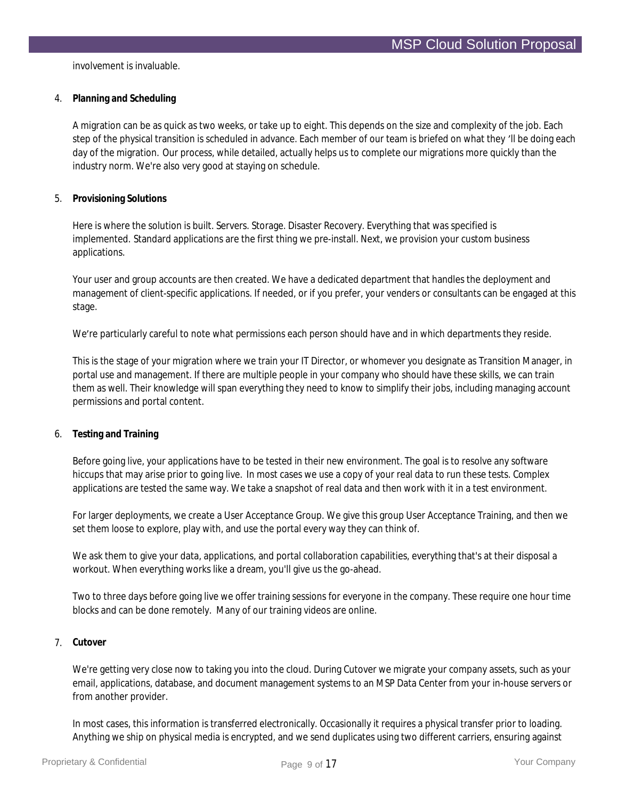involvement is invaluable.

4. **Planning and Scheduling**

A migration can be as quick as two weeks, or take up to eight. This depends on the size and complexity of the job. Each step of the physical transition is scheduled in advance. Each member of our team is briefed on what they 'll be doing each day of the migration. Our process, while detailed, actually helps us to complete our migrations more quickly than the industry norm. We're also very good at staying on schedule.

5. **Provisioning Solutions**

Here is where the solution is built. Servers. Storage. Disaster Recovery. Everything that was specified is implemented. Standard applications are the first thing we pre-install. Next, we provision your custom business applications.

Your user and group accounts are then created. We have a dedicated department that handles the deployment and management of client-specific applications. If needed, or if you prefer, your venders or consultants can be engaged at this stage.

We're particularly careful to note what permissions each person should have and in which departments they reside.

This is the stage of your migration where we train your IT Director, or whomever you designate as Transition Manager, in portal use and management. If there are multiple people in your company who should have these skills, we can train them as well. Their knowledge will span everything they need to know to simplify their jobs, including managing account permissions and portal content.

6. **Testing and Training**

Before going live, your applications have to be tested in their new environment. The goal is to resolve any software hiccups that may arise prior to going live. In most cases we use a copy of your real data to run these tests. Complex applications are tested the same way. We take a snapshot of real data and then work with it in a test environment.

For larger deployments, we create a User Acceptance Group. We give this group User Acceptance Training, and then we set them loose to explore, play with, and use the portal every way they can think of.

We ask them to give your data, applications, and portal collaboration capabilities, everything that's at their disposal a workout. When everything works like a dream, you'll give us the go-ahead.

Two to three days before going live we offer training sessions for everyone in the company. These require one hour time blocks and can be done remotely. Many of our training videos are online.

## 7. **Cutover**

We're getting very close now to taking you into the cloud. During Cutover we migrate your company assets, such as your email, applications, database, and document management systems to an MSP Data Center from your in-house servers or from another provider.

In most cases, this information is transferred electronically. Occasionally it requires a physical transfer prior to loading. Anything we ship on physical media is encrypted, and we send duplicates using two different carriers, ensuring against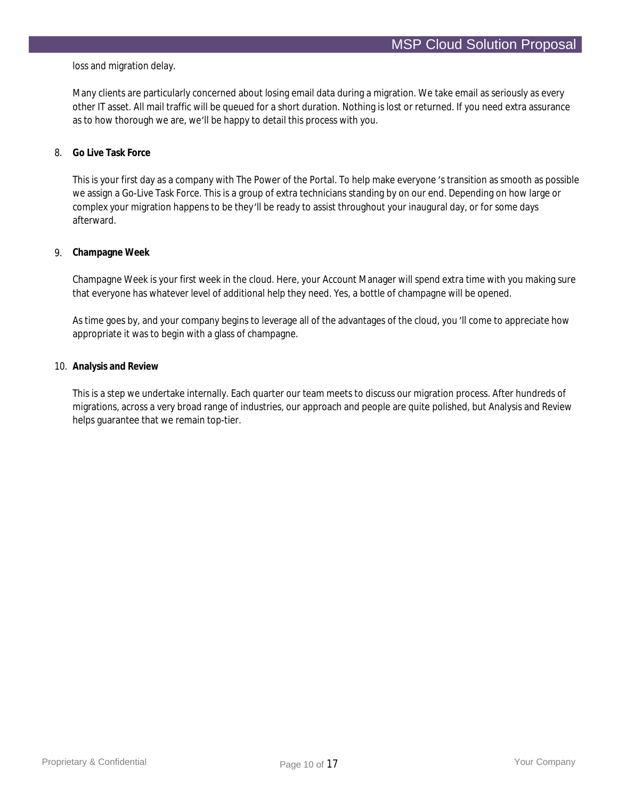loss and migration delay.

Many clients are particularly concerned about losing email data during a migration. We take email as seriously as every other IT asset. All mail traffic will be queued for a short duration. Nothing is lost or returned. If you need extra assurance as to how thorough we are, we'll be happy to detail this process with you.

#### 8. **Go Live Task Force**

This is your first day as a company with The Power of the Portal. To help make everyone 's transition as smooth as possible we assign a Go-Live Task Force. This is a group of extra technicians standing by on our end. Depending on how large or complex your migration happens to be they'll be ready to assist throughout your inaugural day, or for some days afterward.

#### 9. **Champagne Week**

Champagne Week is your first week in the cloud. Here, your Account Manager will spend extra time with you making sure that everyone has whatever level of additional help they need. Yes, a bottle of champagne will be opened.

As time goes by, and your company begins to leverage all of the advantages of the cloud, you 'll come to appreciate how appropriate it was to begin with a glass of champagne.

#### 10. **Analysis and Review**

This is a step we undertake internally. Each quarter our team meets to discuss our migration process. After hundreds of migrations, across a very broad range of industries, our approach and people are quite polished, but Analysis and Review helps guarantee that we remain top-tier.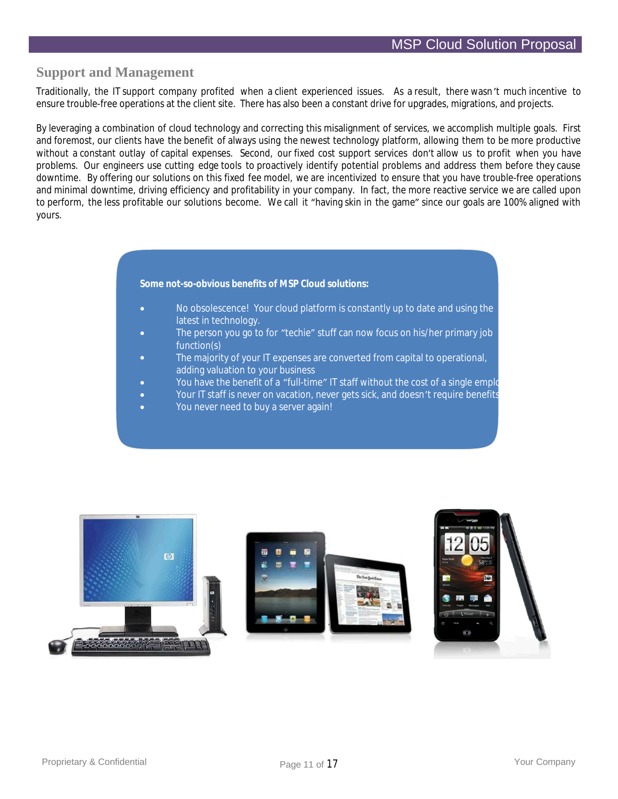## **Support and Management**

Traditionally, the IT support company profited when a client experienced issues. As a result, there wasn't much incentive to ensure trouble-free operations at the client site. There has also been a constant drive for upgrades, migrations, and projects.

By leveraging a combination of cloud technology and correcting this misalignment of services, we accomplish multiple goals. First and foremost, our clients have the benefit of always using the newest technology platform, allowing them to be more productive without a constant outlay of capital expenses. Second, our fixed cost support services don't allow us to profit when you have problems. Our engineers use cutting edge tools to proactively identify potential problems and address them before they cause downtime. By offering our solutions on this fixed fee model, we are incentivized to ensure that you have trouble-free operations and minimal downtime, driving efficiency and profitability in your company. In fact, the more reactive service we are called upon to perform, the less profitable our solutions become. We call it "having skin in the game" since our goals are 100% aligned with yours.

**Some not-so-obvious benefits of MSP Cloud solutions:**

- No obsolescence! Your cloud platform is constantly up to date and using the latest in technology.
- The person you go to for "techie" stuff can now focus on his/her primary job function(s)
- The majority of your IT expenses are converted from capital to operational, adding valuation to your business
- You have the benefit of a "full-time" IT staff without the cost of a single employ
- Your IT staff is never on vacation, never gets sick, and doesn't require benefits
- You never need to buy a server again!

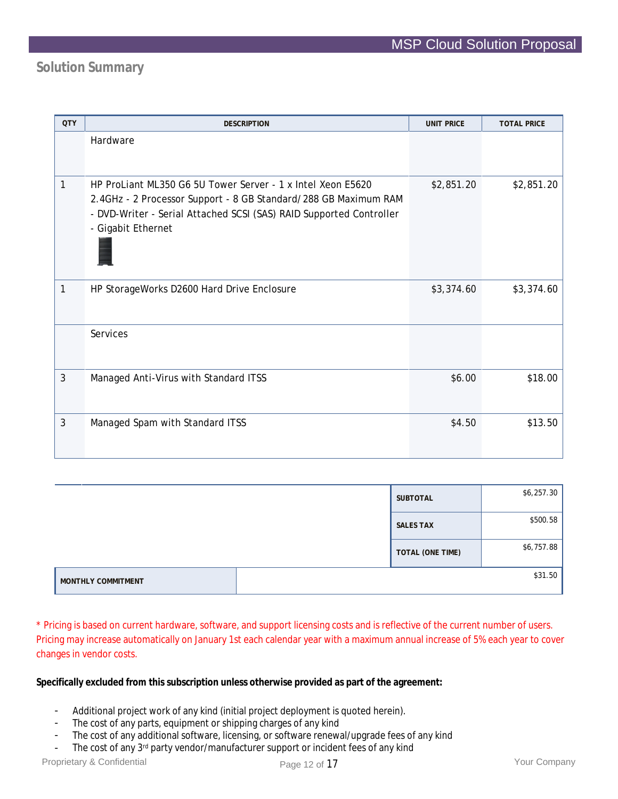# **Solution Summary**

| <b>QTY</b> | <b>DESCRIPTION</b>                                                                                                                                                                                                          | <b>UNIT PRICE</b> | <b>TOTAL PRICE</b> |
|------------|-----------------------------------------------------------------------------------------------------------------------------------------------------------------------------------------------------------------------------|-------------------|--------------------|
|            | Hardware                                                                                                                                                                                                                    |                   |                    |
| 1          | HP ProLiant ML350 G6 5U Tower Server - 1 x Intel Xeon E5620<br>2.4GHz - 2 Processor Support - 8 GB Standard/288 GB Maximum RAM<br>- DVD-Writer - Serial Attached SCSI (SAS) RAID Supported Controller<br>- Gigabit Ethernet | \$2,851.20        | \$2,851.20         |
| 1          | HP StorageWorks D2600 Hard Drive Enclosure                                                                                                                                                                                  | \$3,374.60        | \$3,374.60         |
|            | Services                                                                                                                                                                                                                    |                   |                    |
| 3          | Managed Anti-Virus with Standard ITSS                                                                                                                                                                                       | \$6.00            | \$18.00            |
| 3          | Managed Spam with Standard ITSS                                                                                                                                                                                             | \$4.50            | \$13.50            |

|                    | SUBTOTAL         | \$6,257.30 |
|--------------------|------------------|------------|
|                    | <b>SALES TAX</b> | \$500.58   |
|                    | TOTAL (ONE TIME) | \$6,757.88 |
| MONTHLY COMMITMENT |                  | \$31.50    |

\* Pricing is based on current hardware, software, and support licensing costs and is reflective of the current number of users. Pricing may increase automatically on January 1st each calendar year with a maximum annual increase of 5% each year to cover changes in vendor costs.

**Specifically excluded from this subscription unless otherwise provided as part of the agreement:**

- Additional project work of any kind (initial project deployment is quoted herein).
- The cost of any parts, equipment or shipping charges of any kind
- The cost of any additional software, licensing, or software renewal/upgrade fees of any kind
- The cost of any  $3^{rd}$  party vendor/manufacturer support or incident fees of any kind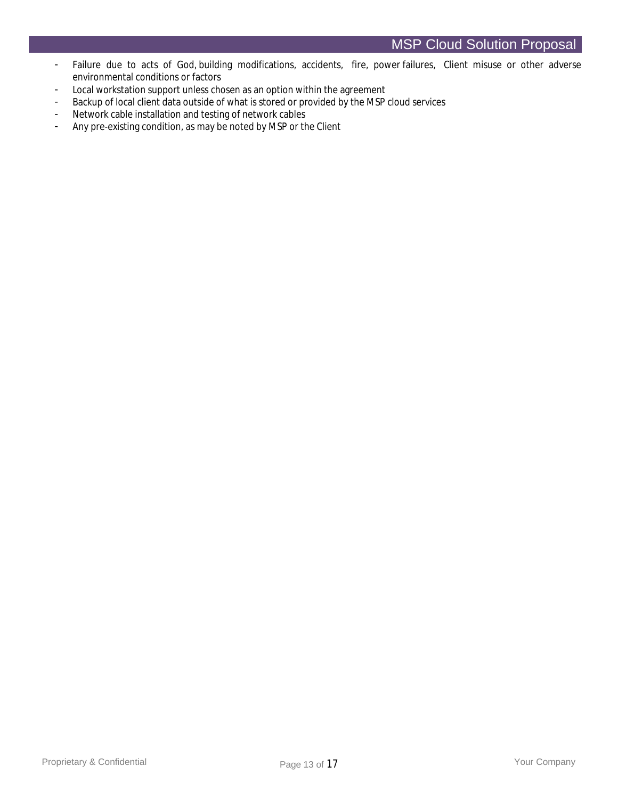- Failure due to acts of God, building modifications, accidents, fire, power failures, Client misuse or other adverse environmental conditions or factors
- Local workstation support unless chosen as an option within the agreement
- Backup of local client data outside of what is stored or provided by the MSP cloud services
- Network cable installation and testing of network cables
- Any pre-existing condition, as may be noted by MSP or the Client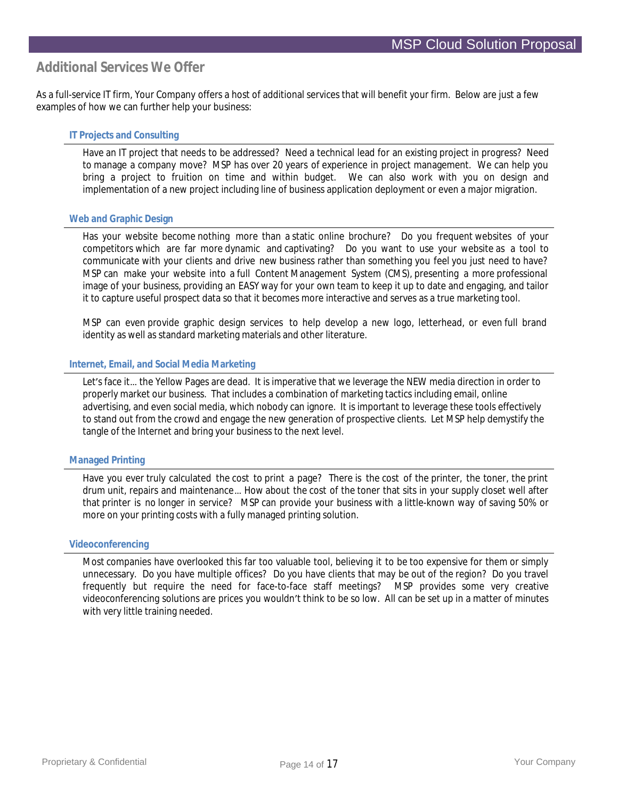## **Additional Services We Offer**

As a full-service IT firm, Your Company offers a host of additional services that will benefit your firm. Below are just a few examples of how we can further help your business:

## **IT Projects and Consulting**

Have an IT project that needs to be addressed? Need a technical lead for an existing project in progress? Need to manage a company move? MSP has over 20 years of experience in project management. We can help you bring a project to fruition on time and within budget. We can also work with you on design and implementation of a new project including line of business application deployment or even a major migration.

#### **Web and Graphic Design**

Has your website become nothing more than a static online brochure? Do you frequent websites of your competitors which are far more dynamic and captivating? Do you want to use your website as a tool to communicate with your clients and drive new business rather than something you feel you just need to have? MSP can make your website into a full Content Management System (CMS), presenting a more professional image of your business, providing an EASY way for your own team to keep it up to date and engaging, and tailor it to capture useful prospect data so that it becomes more interactive and serves as a true marketing tool.

MSP can even provide graphic design services to help develop a new logo, letterhead, or even full brand identity as well as standard marketing materials and other literature.

#### **Internet, Email, and Social Media Marketing**

Let's face it… the Yellow Pages are dead. It is imperative that we leverage the NEW media direction in order to properly market our business. That includes a combination of marketing tactics including email, online advertising, and even social media, which nobody can ignore. It is important to leverage these tools effectively to stand out from the crowd and engage the new generation of prospective clients. Let MSP help demystify the tangle of the Internet and bring your business to the next level.

#### **Managed Printing**

Have you ever truly calculated the cost to print a page? There is the cost of the printer, the toner, the print drum unit, repairs and maintenance…How about the cost of the toner that sits in your supply closet well after that printer is no longer in service? MSP can provide your business with a little-known way of saving 50% or more on your printing costs with a fully managed printing solution.

#### **Videoconferencing**

Most companies have overlooked this far too valuable tool, believing it to be too expensive for them or simply unnecessary. Do you have multiple offices? Do you have clients that may be out of the region? Do you travel frequently but require the need for face-to-face staff meetings? MSP provides some very creative videoconferencing solutions are prices you wouldn't think to be so low. All can be set up in a matter of minutes with very little training needed.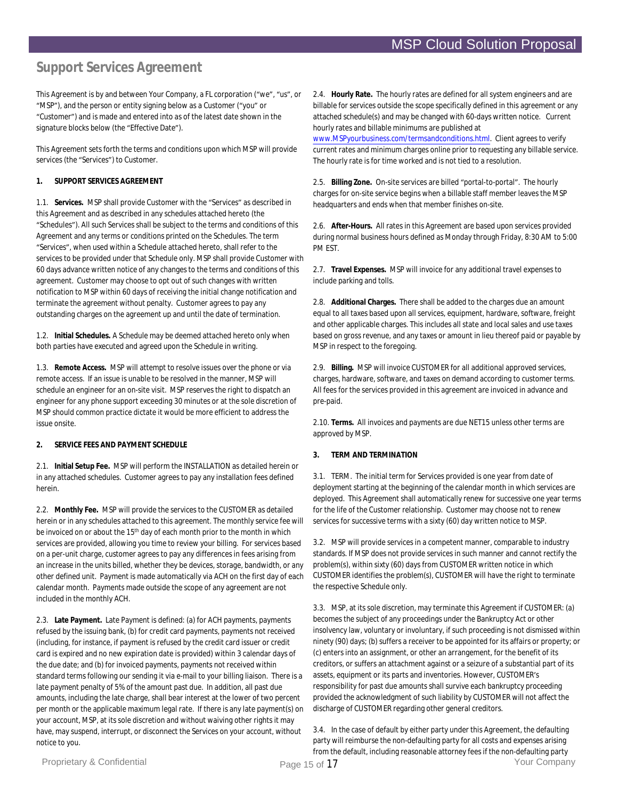# **Support Services Agreement**

This Agreement is by and between Your Company, a FL corporation ("we", "us", or "MSP"), and the person or entity signing below as a Customer ("you" or "Customer") and is made and entered into as of the latest date shown in the signature blocks below (the "Effective Date").

This Agreement sets forth the terms and conditions upon which MSP will provide services (the "Services") to Customer.

#### **1. SUPPORT SERVICES AGREEMENT**

1.1. **Services.** MSP shall provide Customer with the "Services"as described in this Agreement and as described in any schedules attached hereto (the "Schedules"). All such Services shall be subject to the terms and conditions of this Agreement and any terms or conditions printed on the Schedules. The term "Services", when used within a Schedule attached hereto, shall refer to the services to be provided under that Schedule only. MSP shall provide Customer with 60 days advance written notice of any changes to the terms and conditions of this agreement. Customer may choose to opt out of such changes with written notification to MSP within 60 days of receiving the initial change notification and terminate the agreement without penalty. Customer agrees to pay any outstanding charges on the agreement up and until the date of termination.

1.2. **Initial Schedules.** A Schedule may be deemed attached hereto only when both parties have executed and agreed upon the Schedule in writing.

1.3. **Remote Access.** MSP will attempt to resolve issues over the phone or via remote access. If an issue is unable to be resolved in the manner, MSP will schedule an engineer for an on-site visit. MSP reserves the right to dispatch an engineer for any phone support exceeding 30 minutes or at the sole discretion of MSP should common practice dictate it would be more efficient to address the issue onsite.

#### **2. SERVICE FEES AND PAYMENT SCHEDULE**

2.1. **Initial Setup Fee.** MSP will perform the INSTALLATION as detailed herein or in any attached schedules. Customer agrees to pay any installation fees defined herein.

2.2. **Monthly Fee.** MSP will provide the services to the CUSTOMER as detailed herein or in any schedules attached to this agreement. The monthly service fee will be invoiced on or about the 15<sup>th</sup> day of each month prior to the month in which services are provided, allowing you time to review your billing. For services based on a per-unit charge, customer agrees to pay any differences in fees arising from an increase in the units billed, whether they be devices, storage, bandwidth, or any other defined unit. Payment is made automatically via ACH on the first day of each calendar month. Payments made outside the scope of any agreement are not included in the monthly ACH.

2.3. **Late Payment.** Late Payment is defined: (a) for ACH payments, payments refused by the issuing bank, (b) for credit card payments, payments not received (including, for instance, if payment is refused by the credit card issuer or credit card is expired and no new expiration date is provided) within 3 calendar days of the due date; and (b) for invoiced payments, payments not received within standard terms following our sending it via e-mail to your billing liaison. There is a late payment penalty of 5% of the amount past due. In addition, all past due amounts, including the late charge, shall bear interest at the lower of two percent per month or the applicable maximum legal rate. If there is any late payment(s) on your account, MSP, at its sole discretion and without waiving other rights it may have, may suspend, interrupt, or disconnect the Services on your account, without notice to you.

2.4. **Hourly Rate.** The hourly rates are defined for all system engineers and are billable for services outside the scope specifically defined in this agreement or any attached schedule(s) and may be changed with 60-days written notice. Current hourly rates and billable minimums are published at

www.MSPyourbusiness.com/termsandconditions.html. Client agrees to verify current rates and minimum charges online prior to requesting any billable service. The hourly rate is for time worked and is not tied to a resolution.

2.5. **Billing Zone.** On-site services are billed "portal-to-portal". The hourly charges for on-site service begins when a billable staff member leaves the MSP headquarters and ends when that member finishes on-site.

2.6. **After-Hours.** All rates in this Agreement are based upon services provided during normal business hours defined as Monday through Friday, 8:30 AM to 5:00 PM EST.

2.7. **Travel Expenses.** MSP will invoice for any additional travel expenses to include parking and tolls.

2.8. **Additional Charges.** There shall be added to the charges due an amount equal to all taxes based upon all services, equipment, hardware, software, freight and other applicable charges. This includes all state and local sales and use taxes based on gross revenue, and any taxes or amount in lieu thereof paid or payable by MSP in respect to the foregoing.

2.9. **Billing.** MSP will invoice CUSTOMER for all additional approved services, charges, hardware, software, and taxes on demand according to customer terms. All fees for the services provided in this agreement are invoiced in advance and pre-paid.

2.10. **Terms.** All invoices and payments are due NET15 unless other terms are approved by MSP.

#### **3. TERM AND TERMINATION**

3.1. TERM. The initial term for Services provided is one year from date of deployment starting at the beginning of the calendar month in which services are deployed. This Agreement shall automatically renew for successive one year terms for the life of the Customer relationship. Customer may choose not to renew services for successive terms with a sixty (60) day written notice to MSP.

3.2. MSP will provide services in a competent manner, comparable to industry standards. If MSP does not provide services in such manner and cannot rectify the problem(s), within sixty (60) days from CUSTOMER written notice in which CUSTOMER identifies the problem(s), CUSTOMER will have the right to terminate the respective Schedule only.

3.3. MSP, at its sole discretion, may terminate this Agreement if CUSTOMER: (a) becomes the subject of any proceedings under the Bankruptcy Act or other insolvency law, voluntary or involuntary, if such proceeding is not dismissed within ninety (90) days; (b) suffers a receiver to be appointed for its affairs or property; or (c) enters into an assignment, or other an arrangement, for the benefit of its creditors, or suffers an attachment against or a seizure of a substantial part of its assets, equipment or its parts and inventories. However, CUSTOMER's responsibility for past due amounts shall survive each bankruptcy proceeding provided the acknowledgment of such liability by CUSTOMER will not affect the discharge of CUSTOMER regarding other general creditors.

3.4. In the case of default by either party under this Agreement, the defaulting party will reimburse the non-defaulting party for all costs and expenses arising from the default, including reasonable attorney fees if the non-defaulting party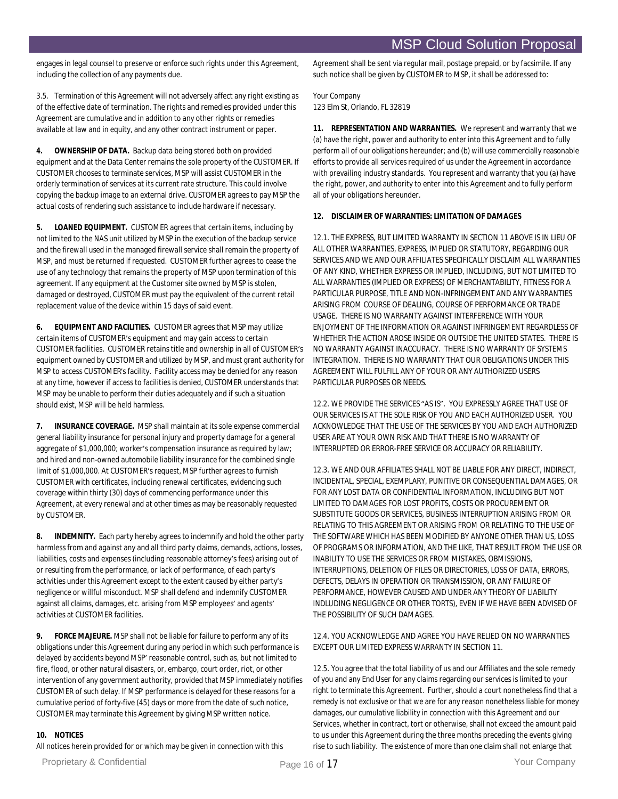engages in legal counsel to preserve or enforce such rights under this Agreement, including the collection of any payments due.

3.5. Termination of this Agreement will not adversely affect any right existing as of the effective date of termination. The rights and remedies provided under this Agreement are cumulative and in addition to any other rights or remedies available at law and in equity, and any other contract instrument or paper.

**4. OWNERSHIP OF DATA.** Backup data being stored both on provided equipment and at the Data Center remains the sole property of the CUSTOMER. If CUSTOMER chooses to terminate services, MSP will assist CUSTOMER in the orderly termination of services at its current rate structure. This could involve copying the backup image to an external drive. CUSTOMER agrees to pay MSP the actual costs of rendering such assistance to include hardware if necessary.

**5. LOANED EQUIPMENT.** CUSTOMER agrees that certain items, including by not limited to the NAS unit utilized by MSP in the execution of the backup service and the firewall used in the managed firewall service shall remain the property of MSP, and must be returned if requested. CUSTOMER further agrees to cease the use of any technology that remains the property of MSP upon termination of this agreement. If any equipment at the Customer site owned by MSP is stolen, damaged or destroyed, CUSTOMER must pay the equivalent of the current retail replacement value of the device within 15 days of said event.

**6. EQUIPMENT AND FACILITIES.** CUSTOMER agrees that MSP may utilize certain items of CUSTOMER's equipment and may gain access to certain CUSTOMER facilities. CUSTOMER retains title and ownership in all of CUSTOMER's equipment owned by CUSTOMER and utilized by MSP, and must grant authority for MSP to access CUSTOMER's facility. Facility access may be denied for any reason at any time, however if access to facilities is denied, CUSTOMER understands that MSP may be unable to perform their duties adequately and if such a situation should exist, MSP will be held harmless.

**7. INSURANCE COVERAGE.** MSP shall maintain at its sole expense commercial general liability insurance for personal injury and property damage for a general aggregate of \$1,000,000; worker's compensation insurance as required by law; and hired and non-owned automobile liability insurance for the combined single limit of \$1,000,000. At CUSTOMER's request, MSP further agrees to furnish CUSTOMER with certificates, including renewal certificates, evidencing such coverage within thirty (30) days of commencing performance under this Agreement, at every renewal and at other times as may be reasonably requested by CUSTOMER.

**8. INDEMNITY.** Each party hereby agrees to indemnify and hold the other party harmless from and against any and all third party claims, demands, actions, losses, liabilities, costs and expenses (including reasonable attorney's fees) arising out of or resulting from the performance, or lack of performance, of each party's activities under this Agreement except to the extent caused by either party's negligence or willful misconduct. MSP shall defend and indemnify CUSTOMER against all claims, damages, etc. arising from MSP employees' and agents' activities at CUSTOMER facilities.

**9. FORCE MAJEURE.** MSP shall not be liable for failure to perform any of its obligations under this Agreement during any period in which such performance is delayed by accidents beyond MSP'reasonable control, such as, but not limited to fire, flood, or other natural disasters, or, embargo, court order, riot, or other intervention of any government authority, provided that MSP immediately notifies CUSTOMER of such delay. If MSP'performance is delayed for these reasons for a cumulative period of forty-five (45) days or more from the date of such notice, CUSTOMER may terminate this Agreement by giving MSP written notice.

#### **10. NOTICES**

All notices herein provided for or which may be given in connection with this

Agreement shall be sent via regular mail, postage prepaid, or by facsimile. If any such notice shall be given by CUSTOMER to MSP, it shall be addressed to:

Your Company

123 Elm St, Orlando, FL 32819

**11. REPRESENTATION AND WARRANTIES.** We represent and warranty that we (a) have the right, power and authority to enter into this Agreement and to fully perform all of our obligations hereunder; and (b) will use commercially reasonable efforts to provide all services required of us under the Agreement in accordance with prevailing industry standards. You represent and warranty that you (a) have the right, power, and authority to enter into this Agreement and to fully perform all of your obligations hereunder.

**12. DISCLAIMER OF WARRANTIES: LIMITATION OF DAMAGES**

12.1. THE EXPRESS, BUT LIMITED WARRANTY IN SECTION 11 ABOVE IS IN LIEU OF ALL OTHER WARRANTIES, EXPRESS, IMPLIED OR STATUTORY, REGARDING OUR SERVICES AND WE AND OUR AFFILIATES SPECIFICALLY DISCLAIM ALL WARRANTIES OF ANY KIND, WHETHER EXPRESS OR IMPLIED, INCLUDING, BUT NOT LIMITED TO ALL WARRANTIES (IMPLIED OR EXPRESS) OF MERCHANTABILITY, FITNESS FOR A PARTICULAR PURPOSE, TITLE AND NON-INFRINGEMENT AND ANY WARRANTIES ARISING FROM COURSE OF DEALING, COURSE OF PERFORMANCE OR TRADE USAGE. THERE IS NO WARRANTY AGAINST INTERFERENCE WITH YOUR ENJOYMENT OF THE INFORMATION OR AGAINST INFRINGEMENT REGARDLESS OF WHETHER THE ACTION AROSE INSIDE OR OUTSIDE THE UNITED STATES. THERE IS NO WARRANTY AGAINST INACCURACY. THERE IS NO WARRANTY OF SYSTEMS INTEGRATION. THERE IS NO WARRANTY THAT OUR OBLIGATIONS UNDER THIS AGREEMENT WILL FULFILL ANY OF YOUR OR ANY AUTHORIZED USER'S PARTICULAR PURPOSES OR NEEDS.

12.2. WE PROVIDE THE SERVICES "AS IS". YOU EXPRESSLY AGREE THAT USE OF OUR SERVICES IS AT THE SOLE RISK OF YOU AND EACH AUTHORIZED USER. YOU ACKNOWLEDGE THAT THE USE OF THE SERVICES BY YOU AND EACH AUTHORIZED USER ARE AT YOUR OWN RISK AND THAT THERE IS NO WARRANTY OF INTERRUPTED OR ERROR-FREE SERVICE OR ACCURACY OR RELIABILITY.

12.3. WE AND OUR AFFILIATES SHALL NOT BE LIABLE FOR ANY DIRECT, INDIRECT, INCIDENTAL, SPECIAL, EXEMPLARY, PUNITIVE OR CONSEQUENTIAL DAMAGES, OR FOR ANY LOST DATA OR CONFIDENTIAL INFORMATION, INCLUDING BUT NOT LIMITED TO DAMAGES FOR LOST PROFITS, COSTS OR PROCUREMENT OR SUBSTITUTE GOODS OR SERVICES, BUSINESS INTERRUPTION ARISING FROM OR RELATING TO THIS AGREEMENT OR ARISING FROM OR RELATING TO THE USE OF THE SOFTWARE WHICH HAS BEEN MODIFIED BY ANYONE OTHER THAN US, LOSS OF PROGRAMS OR INFORMATION, AND THE LIKE, THAT RESULT FROM THE USE OR INABILITY TO USE THE SERVICES OR FROM MISTAKES, OBMISSIONS, INTERRUPTIONS, DELETION OF FILES OR DIRECTORIES, LOSS OF DATA, ERRORS, DEFECTS, DELAYS IN OPERATION OR TRANSMISSION, OR ANY FAILURE OF PERFORMANCE, HOWEVER CAUSED AND UNDER ANY THEORY OF LIABILITY INDLUDING NEGLIGENCE OR OTHER TORTS), EVEN IF WE HAVE BEEN ADVISED OF THE POSSIBILITY OF SUCH DAMAGES.

12.4. YOU ACKNOWLEDGE AND AGREE YOU HAVE RELIED ON NO WARRANTIES EXCEPT OUR LIMITED EXPRESS WARRANTY IN SECTION 11.

12.5. You agree that the total liability of us and our Affiliates and the sole remedy of you and any End User for any claims regarding our services is limited to your right to terminate this Agreement. Further, should a court nonetheless find that a remedy is not exclusive or that we are for any reason nonetheless liable for money damages, our cumulative liability in connection with this Agreement and our Services, whether in contract, tort or otherwise, shall not exceed the amount paid to us under this Agreement during the three months preceding the events giving rise to such liability. The existence of more than one claim shall not enlarge that